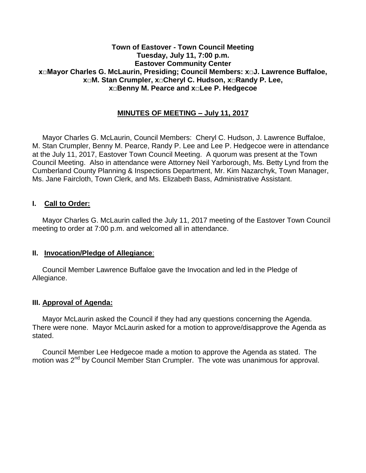#### **Town of Eastover - Town Council Meeting Tuesday, July 11, 7:00 p.m. Eastover Community Center x□Mayor Charles G. McLaurin, Presiding; Council Members: x□J. Lawrence Buffaloe, x□M. Stan Crumpler, x□Cheryl C. Hudson, x□Randy P. Lee, x□Benny M. Pearce and x□Lee P. Hedgecoe**

## **MINUTES OF MEETING – July 11, 2017**

 Mayor Charles G. McLaurin, Council Members: Cheryl C. Hudson, J. Lawrence Buffaloe, M. Stan Crumpler, Benny M. Pearce, Randy P. Lee and Lee P. Hedgecoe were in attendance at the July 11, 2017, Eastover Town Council Meeting. A quorum was present at the Town Council Meeting. Also in attendance were Attorney Neil Yarborough, Ms. Betty Lynd from the Cumberland County Planning & Inspections Department, Mr. Kim Nazarchyk, Town Manager, Ms. Jane Faircloth, Town Clerk, and Ms. Elizabeth Bass, Administrative Assistant.

#### **I. Call to Order:**

 Mayor Charles G. McLaurin called the July 11, 2017 meeting of the Eastover Town Council meeting to order at 7:00 p.m. and welcomed all in attendance.

#### **II. Invocation/Pledge of Allegiance**:

 Council Member Lawrence Buffaloe gave the Invocation and led in the Pledge of Allegiance.

#### **III. Approval of Agenda:**

 Mayor McLaurin asked the Council if they had any questions concerning the Agenda. There were none. Mayor McLaurin asked for a motion to approve/disapprove the Agenda as stated.

 Council Member Lee Hedgecoe made a motion to approve the Agenda as stated. The motion was 2<sup>nd</sup> by Council Member Stan Crumpler. The vote was unanimous for approval.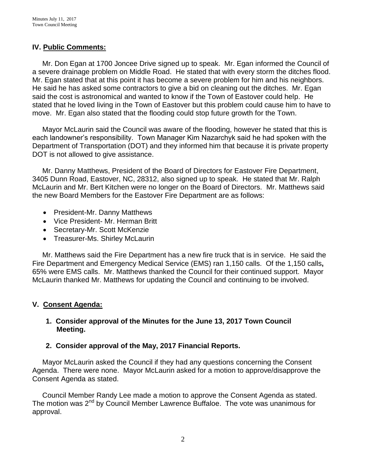## **IV. Public Comments:**

 Mr. Don Egan at 1700 Joncee Drive signed up to speak. Mr. Egan informed the Council of a severe drainage problem on Middle Road. He stated that with every storm the ditches flood. Mr. Egan stated that at this point it has become a severe problem for him and his neighbors. He said he has asked some contractors to give a bid on cleaning out the ditches. Mr. Egan said the cost is astronomical and wanted to know if the Town of Eastover could help. He stated that he loved living in the Town of Eastover but this problem could cause him to have to move. Mr. Egan also stated that the flooding could stop future growth for the Town.

 Mayor McLaurin said the Council was aware of the flooding, however he stated that this is each landowner's responsibility. Town Manager Kim Nazarchyk said he had spoken with the Department of Transportation (DOT) and they informed him that because it is private property DOT is not allowed to give assistance.

 Mr. Danny Matthews, President of the Board of Directors for Eastover Fire Department, 3405 Dunn Road, Eastover, NC, 28312, also signed up to speak. He stated that Mr. Ralph McLaurin and Mr. Bert Kitchen were no longer on the Board of Directors. Mr. Matthews said the new Board Members for the Eastover Fire Department are as follows:

- President-Mr. Danny Matthews
- Vice President- Mr. Herman Britt
- Secretary-Mr. Scott McKenzie
- Treasurer-Ms. Shirley McLaurin

Mr. Matthews said the Fire Department has a new fire truck that is in service. He said the Fire Department and Emergency Medical Service (EMS) ran 1,150 calls. Of the 1,150 calls**,**  65% were EMS calls. Mr. Matthews thanked the Council for their continued support. Mayor McLaurin thanked Mr. Matthews for updating the Council and continuing to be involved.

# **V. Consent Agenda:**

## **1. Consider approval of the Minutes for the June 13, 2017 Town Council Meeting.**

# **2. Consider approval of the May, 2017 Financial Reports.**

 Mayor McLaurin asked the Council if they had any questions concerning the Consent Agenda. There were none. Mayor McLaurin asked for a motion to approve/disapprove the Consent Agenda as stated.

 Council Member Randy Lee made a motion to approve the Consent Agenda as stated. The motion was 2<sup>nd</sup> by Council Member Lawrence Buffaloe. The vote was unanimous for approval.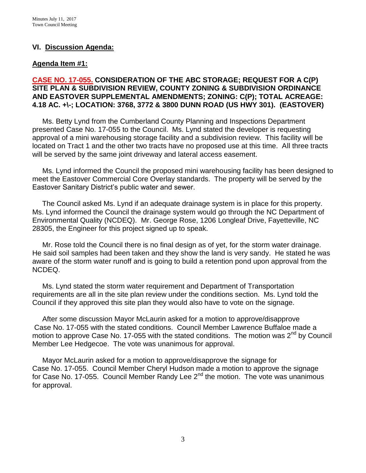## **VI. Discussion Agenda:**

### **Agenda Item #1:**

### **CASE NO. 17-055. CONSIDERATION OF THE ABC STORAGE; REQUEST FOR A C(P) SITE PLAN & SUBDIVISION REVIEW, COUNTY ZONING & SUBDIVISION ORDINANCE AND EASTOVER SUPPLEMENTAL AMENDMENTS; ZONING: C(P); TOTAL ACREAGE: 4.18 AC. +\-; LOCATION: 3768, 3772 & 3800 DUNN ROAD (US HWY 301). (EASTOVER)**

 Ms. Betty Lynd from the Cumberland County Planning and Inspections Department presented Case No. 17-055 to the Council. Ms. Lynd stated the developer is requesting approval of a mini warehousing storage facility and a subdivision review. This facility will be located on Tract 1 and the other two tracts have no proposed use at this time. All three tracts will be served by the same joint driveway and lateral access easement.

 Ms. Lynd informed the Council the proposed mini warehousing facility has been designed to meet the Eastover Commercial Core Overlay standards. The property will be served by the Eastover Sanitary District's public water and sewer.

 The Council asked Ms. Lynd if an adequate drainage system is in place for this property. Ms. Lynd informed the Council the drainage system would go through the NC Department of Environmental Quality (NCDEQ). Mr. George Rose, 1206 Longleaf Drive, Fayetteville, NC 28305, the Engineer for this project signed up to speak.

 Mr. Rose told the Council there is no final design as of yet, for the storm water drainage. He said soil samples had been taken and they show the land is very sandy. He stated he was aware of the storm water runoff and is going to build a retention pond upon approval from the NCDEQ.

 Ms. Lynd stated the storm water requirement and Department of Transportation requirements are all in the site plan review under the conditions section. Ms. Lynd told the Council if they approved this site plan they would also have to vote on the signage.

 After some discussion Mayor McLaurin asked for a motion to approve/disapprove Case No. 17-055 with the stated conditions. Council Member Lawrence Buffaloe made a motion to approve Case No. 17-055 with the stated conditions. The motion was 2<sup>nd</sup> by Council Member Lee Hedgecoe. The vote was unanimous for approval.

 Mayor McLaurin asked for a motion to approve/disapprove the signage for Case No. 17-055. Council Member Cheryl Hudson made a motion to approve the signage for Case No. 17-055. Council Member Randy Lee  $2^{nd}$  the motion. The vote was unanimous for approval.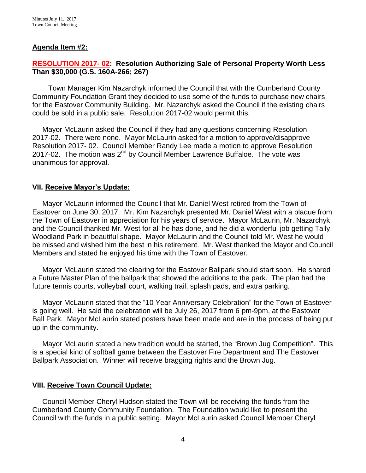### **Agenda Item #2:**

### **RESOLUTION 2017- 02: Resolution Authorizing Sale of Personal Property Worth Less Than \$30,000 (G.S. 160A-266; 267)**

Town Manager Kim Nazarchyk informed the Council that with the Cumberland County Community Foundation Grant they decided to use some of the funds to purchase new chairs for the Eastover Community Building. Mr. Nazarchyk asked the Council if the existing chairs could be sold in a public sale. Resolution 2017-02 would permit this.

 Mayor McLaurin asked the Council if they had any questions concerning Resolution 2017-02. There were none. Mayor McLaurin asked for a motion to approve/disapprove Resolution 2017- 02. Council Member Randy Lee made a motion to approve Resolution 2017-02. The motion was  $2^{nd}$  by Council Member Lawrence Buffaloe. The vote was unanimous for approval.

#### **VII. Receive Mayor's Update:**

 Mayor McLaurin informed the Council that Mr. Daniel West retired from the Town of Eastover on June 30, 2017. Mr. Kim Nazarchyk presented Mr. Daniel West with a plaque from the Town of Eastover in appreciation for his years of service. Mayor McLaurin, Mr. Nazarchyk and the Council thanked Mr. West for all he has done, and he did a wonderful job getting Tally Woodland Park in beautiful shape. Mayor McLaurin and the Council told Mr. West he would be missed and wished him the best in his retirement. Mr. West thanked the Mayor and Council Members and stated he enjoyed his time with the Town of Eastover.

 Mayor McLaurin stated the clearing for the Eastover Ballpark should start soon. He shared a Future Master Plan of the ballpark that showed the additions to the park. The plan had the future tennis courts, volleyball court, walking trail, splash pads, and extra parking.

 Mayor McLaurin stated that the "10 Year Anniversary Celebration" for the Town of Eastover is going well. He said the celebration will be July 26, 2017 from 6 pm-9pm, at the Eastover Ball Park. Mayor McLaurin stated posters have been made and are in the process of being put up in the community.

 Mayor McLaurin stated a new tradition would be started, the "Brown Jug Competition". This is a special kind of softball game between the Eastover Fire Department and The Eastover Ballpark Association. Winner will receive bragging rights and the Brown Jug.

#### **VIII. Receive Town Council Update:**

 Council Member Cheryl Hudson stated the Town will be receiving the funds from the Cumberland County Community Foundation. The Foundation would like to present the Council with the funds in a public setting. Mayor McLaurin asked Council Member Cheryl